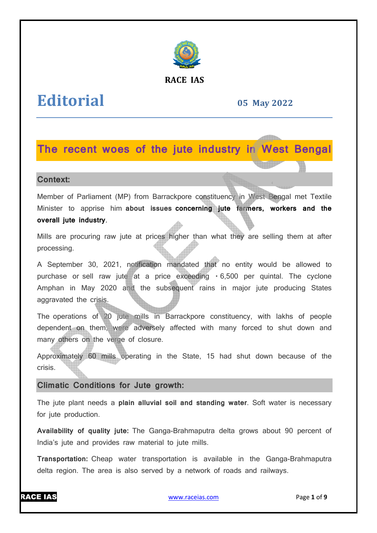

## **RACE IAS**

# **Editorial**

**05 May 2022**

# **The recent woes of the jute industry in West Bengal**

### **Context:**

Member of Parliament (MP) from Barrackpore constituency in West Bengal met Textile Minister to apprise him **about issues concerning jute farmers, workers and the overall jute industry**.

Mills are procuring raw jute at prices higher than what they are selling them at after processing.

A September 30, 2021, notification mandated that no entity would be allowed to purchase or sell raw jute at a price exceeding 6,500 per quintal. The cyclone Amphan in May 2020 and the subsequent rains in major jute producing States aggravated the crisis.

The operations of 20 jute mills in Barrackpore constituency, with lakhs of people dependent on them, were adversely affected with many forced to shut down and many others on the verge of closure. sequent rains in major jute producing States<br>Barrackpore constituency, with lakhs of people<br>affected with many forced to shut down and<br>the State, 15 had shut down because of the<br>**wth:**<br>coil and standing water. Soft water i

Approximately 60 mills operating in the State, 15 had shut down because of the crisis.

# **Climatic Conditions for Jute growth:**

The jute plant needs a **plain alluvial soil and standing water** . Soft water is necessary for jute production.

Availability of quality jute: The Ganga-Brahmaputra delta grows about 90 percent of India's jute and provides raw material to jute mills.

**Transportation:** Cheap water transportation is available in the Ganga delta region. The area is also served by a network of roads and railways.



www.raceias.com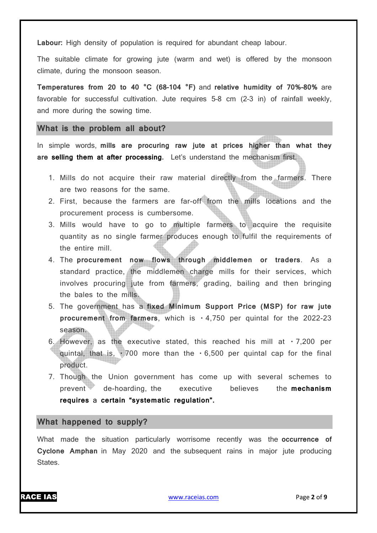**Labour:** High density of population is required for abundant cheap labour.

The suitable climate for growing jute (warm and wet) is offered by the monsoon climate, during the monsoon season.

**Temperatures from 20 to 40 °C (68–104 °F)** and **relative humidity of 70%–80%** are favorable for successful cultivation. Jute requires 5–8 cm (2–3 in) of rainfall weekly, and more during the sowing time.

#### **What is the problem all about?**

In simple words, **mills are procuring raw jute at prices higher than what they are selling them at after processing.** Let's understand the mechanism first.

- 1. Mills do not acquire their raw material directly from the farmers. There are two reasons for the same.
- 2. First, because the farmers are far-off from the mills locations and the procurement process is cumbersome.
- 3. Mills would have to go to multiple farmers to acquire the requisite quantity as no single farmer produces enough to fulfil the requirements of the entire mill.
- 4. The **procurement now flows through middlemen or traders**. As a standard practice, the middlemen charge mills for their services, which involves procuring jute from farmers, grading, bailing and then bringing the bales to the mills.
- 5. The government has a **fixed Minimum Support Price (MSP) for raw jute procurement from farmers**, which is  $\cdot$  4,750 per quintal for the 2022-23 season.
- 6. However, as the executive stated, this reached his mill at  $\cdot$  7,200 per quintal, that is,  $\cdot$  700 more than the  $\cdot$  6,500 per quintal cap for the final product.
- 7. Though the Union government has come up with several schemes to prevent de-hoarding, the executive believes the **mechanism requires** a **certain "systematic regulation".**

#### **What happened to supply?**

What made the situation particularly worrisome recently was the **occurrence of Cyclone Amphan** in May 2020 and the subsequent rains in major jute producing States.

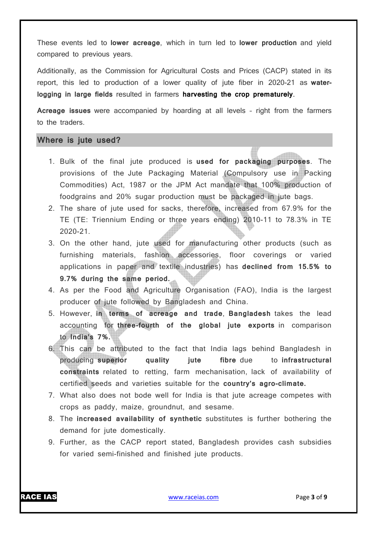These events led to **lower acreage**, which in turn led to **lower production** and yield compared to previous years.

Additionally, as the Commission for Agricultural Costs and Prices (CACP) stated in its report, this led to production of a lower quality of jute fiber in 2020-21 as **waterlogging in large fields** resulted in farmers **harvesting the crop prematurely**.

**Acreage issues** were accompanied by hoarding at all levels – right from the farmers to the traders.

## **Where is jute used?**

- 1. Bulk of the final jute produced is **used for packaging purposes**. The provisions of the Jute Packaging Material (Compulsory use in Packing Commodities) Act, 1987 or the JPM Act mandate that 100% production of foodgrains and 20% sugar production must be packaged in jute bags.
- 2. The share of jute used for sacks, therefore, increased from 67.9% for the TE (TE: Triennium Ending or three years ending) 2010-11 to 78.3% in TE 2020-21.
- 3. On the other hand, jute used for manufacturing other products (such as furnishing materials, fashion accessories, floor coverings or varied applications in paper and textile industries) has **declined from 15.5% to 9.7% during the same period.**
- 4. As per the Food and Agriculture Organisation (FAO), India is the largest producer of jute followed by Bangladesh and China.
- 5. However, **in terms of acreage and trade**, **Bangladesh** takes the lead accounting for **three-fourth of the global jute exports** in comparison to **India's 7%.**
- 6. This can be attributed to the fact that India lags behind Bangladesh in producing **superior quality jute fibre** due to **infrastructural constraints** related to retting, farm mechanisation, lack of availability of certified seeds and varieties suitable for the **country's agro-climate.**
- 7. What also does not bode well for India is that jute acreage competes with crops as paddy, maize, groundnut, and sesame.
- 8. The **increased availability of synthetic** substitutes is further bothering the demand for jute domestically.
- 9. Further, as the CACP report stated, Bangladesh provides cash subsidies for varied semi-finished and finished jute products.

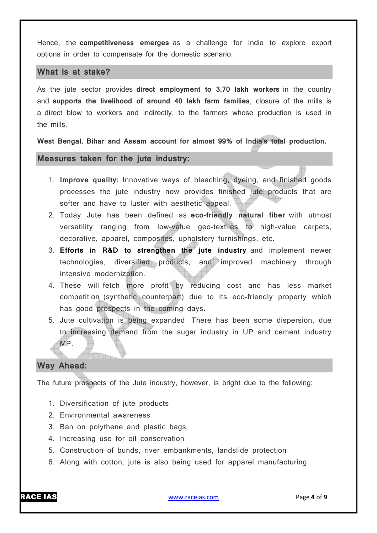Hence, the **competitiveness emerges** as a challenge for India to explore export options in order to compensate for the domestic scenario.

#### **What is at stake?**

As the jute sector provides **direct employment to 3.70 lakh workers** in the country and **supports the livelihood of around 40 lakh farm families**, closure of the mills is a direct blow to workers and indirectly, to the farmers whose production is used in the mills.

**West Bengal, Bihar and Assam account for almost 99% of India's total production.**

### **Measures taken for the jute industry:**

- 1. **Improve quality:** Innovative ways of bleaching, dyeing, and finished goods processes the jute industry now provides finished jute products that are softer and have to luster with aesthetic appeal.
- 2. Today Jute has been defined as **eco-friendly natural fiber** with utmost versatility ranging from low-value geo-textiles to high-value carpets, decorative, apparel, composites, upholstery furnishings, etc.
- 3. **Efforts in R&D to strengthen the jute industry** and implement newer technologies, diversified products, and improved machinery through intensive modernization.
- 4. These will fetch more profit by reducing cost and has less market competition (synthetic counterpart) due to its eco-friendly property which has good prospects in the coming days.
- 5. Jute cultivation is being expanded. There has been some dispersion, due to increasing demand from the sugar industry in UP and cement industry MP.

#### **Way Ahead:**

The future prospects of the Jute industry, however, is bright due to the following:

- 1. Diversification of jute products
- 2. Environmental awareness

<u> Tillian</u>

- 3. Ban on polythene and plastic bags
- 4. Increasing use for oil conservation
- 5. Construction of bunds, river embankments, landslide protection
- 6. Along with cotton, jute is also being used for apparel manufacturing.

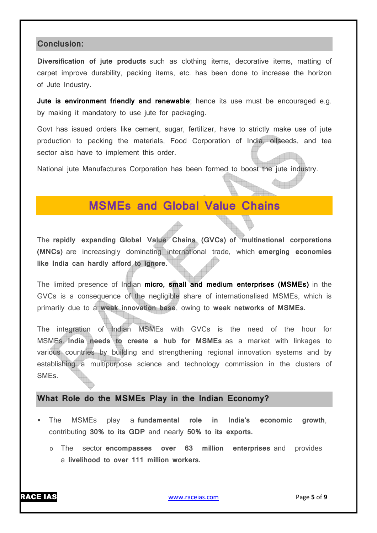#### **Conclusion:**

**Diversification of jute products** such as clothing items, decorative items, matting of carpet improve durability, packing items, etc. has been done to increase the horizon of Jute Industry.

**Jute is environment friendly and renewable**; hence its use must be encouraged e.g. by making it mandatory to use jute for packaging.

Govt has issued orders like cement, sugar, fertilizer, have to strictly make use of jute production to packing the materials, Food Corporation of India, oilseeds, and tea sector also have to implement this order.

National jute Manufactures Corporation has been formed to boost the jute industry.

# **MSMEs and Global Value Chains**

The **rapidly expanding Global Value Chains (GVCs) of multinational corporations (MNCs)** are increasingly dominating international trade, which **emerging economies like India can hardly afford to ignore.**

The limited presence of Indian **micro, small and medium enterprises (MSMEs)** in the GVCs is a consequence of the negligible share of internationalised MSMEs, which is primarily due to a **weak innovation base**, owing to **weak networks of MSMEs.**

The integration of Indian MSMEs with GVCs is the need of the hour for MSMEs. **India needs to create a hub for MSMEs** as a market with linkages to various countries by building and strengthening regional innovation systems and by establishing a multipurpose science and technology commission in the clusters of SMEs.

#### **What Role do the MSMEs Play in the Indian Economy?**

- The MSMEs play a **fundamental role in India's economic growth**, contributing **30% to its GDP** and nearly **50% to its exports.**
	- o The sector **encompasses over 63 million enterprises** and provides a **livelihood to over 111 million workers.**

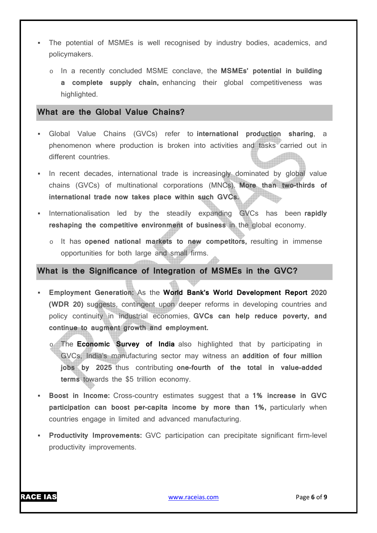- The potential of MSMEs is well recognised by industry bodies, academics, and policymakers.
	- o In a recently concluded MSME conclave, the **MSMEs' potential in building a complete supply chain,** enhancing their global competitiveness was highlighted.

# **What are the Global Value Chains?**

- Global Value Chains (GVCs) refer to **international production sharing**, a phenomenon where production is broken into activities and tasks carried out in different countries.
- In recent decades, international trade is increasingly dominated by global value chains (GVCs) of multinational corporations (MNCs). **More than two-thirds of international trade now takes place within such GVCs.**
- Internationalisation led by the steadily expanding GVCs has been rapidly **reshaping the competitive environment of business** in the global economy.
	- o It has **opened national markets to new competitors,** resulting in immense opportunities for both large and small firms.

# **What is the Significance of Integration of MSMEs in the GVC?**

- **Employment Generation:** As the **World Bank's World Development Report 2020 (WDR 20)** suggests, contingent upon deeper reforms in developing countries and policy continuity in industrial economies, **GVCs can help reduce poverty, and continue to augment growth and employment.**
	- o The **Economic Survey of India** also highlighted that by participating in GVCs, India's manufacturing sector may witness an **addition of four million jobs by 2025** thus contributing **one-fourth of the total in value-added terms** towards the \$5 trillion economy.
- **Boost in Income:** Cross-country estimates suggest that a **1% increase in GVC participation can boost per-capita income by more than 1%,** particularly when countries engage in limited and advanced manufacturing.
- **Productivity Improvements:** GVC participation can precipitate significant firm-level productivity improvements.

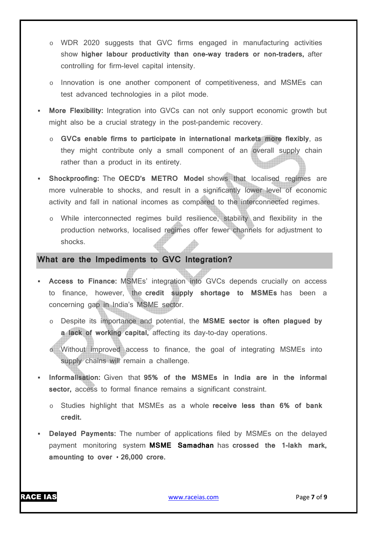- o WDR 2020 suggests that GVC firms engaged in manufacturing activities show **higher labour productivity than one-way traders or non-traders,** after controlling for firm-level capital intensity.
- o Innovation is one another component of competitiveness, and MSMEs can test advanced technologies in a pilot mode.
- **More Flexibility:** Integration into GVCs can not only support economic growth but might also be a crucial strategy in the post-pandemic recovery.
	- o **GVCs enable firms to participate in international markets more flexibly**, as they might contribute only a small component of an overall supply chain rather than a product in its entirety.
- **Shockproofing:** The **OECD's METRO Model** shows that localised regimes are more vulnerable to shocks, and result in a significantly lower level of economic activity and fall in national incomes as compared to the interconnected regimes.
	- o While interconnected regimes build resilience, stability and flexibility in the production networks, localised regimes offer fewer channels for adjustment to shocks.

# **What are the Impediments to GVC Integration?**

- **Access to Finance:** MSMEs' integration into GVCs depends crucially on access to finance, however, the **credit supply shortage to MSMEs** has been a concerning gap in India's MSME sector.
	- o Despite its importance and potential, the **MSME sector is often plagued by a lack of working capital,** affecting its day-to-day operations.
	- o Without improved access to finance, the goal of integrating MSMEs into supply chains will remain a challenge.
- **Informalisation:** Given that **95% of the MSMEs in India are in the informal sector,** access to formal finance remains a significant constraint.
	- o Studies highlight that MSMEs as a whole **receive less than 6% of bank credit.**
- **Delayed Payments:** The number of applications filed by MSMEs on the delayed payment monitoring system **MSME Samadhan** has **crossed the 1-lakh mark,**  amounting to over  $\cdot$  26,000 crore.

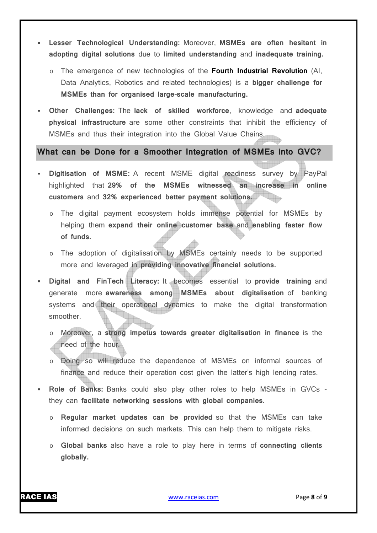- **Lesser Technological Understanding:** Moreover, **MSMEs are often hesitant in adopting digital solutions** due to **limited understanding** and **inadequate training.**
	- o The emergence of new technologies of the **Fourth Industrial Revolution** (AI, Data Analytics, Robotics and related technologies) is a **bigger challenge for MSMEs than for organised large-scale manufacturing.**
- **Other Challenges:** The **lack of skilled workforce**, knowledge and **adequate physical infrastructure** are some other constraints that inhibit the efficiency of MSMEs and thus their integration into the Global Value Chains.

**What can be Done for a Smoother Integration of MSMEs into GVC?** 

- **Digitisation of MSME:** A recent MSME digital readiness survey by PayPal highlighted that **29% of the MSMEs witnessed an increase in online customers** and **32% experienced better payment solutions.**
	- o The digital payment ecosystem holds immense potential for MSMEs by helping them **expand their online customer base** and **enabling faster flow of funds.**
	- o The adoption of digitalisation by MSMEs certainly needs to be supported more and leveraged in **providing innovative financial solutions.**
- **Digital and FinTech Literacy:** It becomes essential to **provide training** and generate more **awareness among MSMEs about digitalisation** of banking systems and their operational dynamics to make the digital transformation smoother.
	- o Moreover, a **strong impetus towards greater digitalisation in finance** is the need of the hour.
	- Doing so will reduce the dependence of MSMEs on informal sources of finance and reduce their operation cost given the latter's high lending rates.
- **Role of Banks:** Banks could also play other roles to help MSMEs in GVCs they can **facilitate networking sessions with global companies.**
	- Regular market updates can be provided so that the MSMEs can take informed decisions on such markets. This can help them to mitigate risks.
	- o **Global banks** also have a role to play here in terms of **connecting clients globally.**